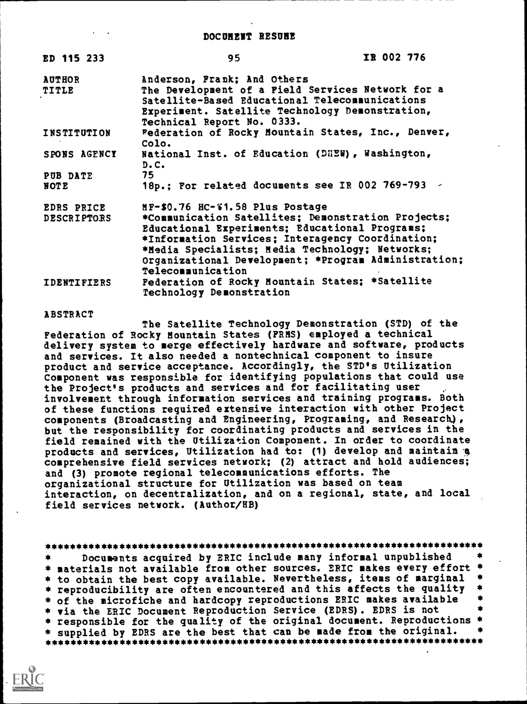| ED 115 233             | 95                                                                                                                                                                                                                  | IR 002 776 |  |
|------------------------|---------------------------------------------------------------------------------------------------------------------------------------------------------------------------------------------------------------------|------------|--|
| <b>AUTHOR</b><br>TITLE | Anderson, Frank; And Others<br>The Development of a Field Services Network for a<br>Satellite-Based Educational Telecommunications<br>Experiment. Satellite Technology Demonstration,<br>Technical Report No. 0333. |            |  |
| INSTITUTION            | Federation of Rocky Mountain States, Inc., Denver,<br>Colo.                                                                                                                                                         |            |  |
| SPONS AGENCY           | National Inst. of Education (DHEW), Washington,<br>D.C.                                                                                                                                                             |            |  |
| PUB DATE               | 75                                                                                                                                                                                                                  |            |  |
| NOTE                   | 18p.; For related documents see IR 002 769-793 /                                                                                                                                                                    |            |  |
| <b>EDRS PRICE</b>      | MF-\$0.76 HC-%1.58 Plus Postage                                                                                                                                                                                     |            |  |
| <b>DESCRIPTORS</b>     | *Communication Satellites; Demonstration Projects;                                                                                                                                                                  |            |  |
|                        | Educational Experiments; Educational Programs;                                                                                                                                                                      |            |  |
|                        | *Information Services; Interagency Coordination;                                                                                                                                                                    |            |  |
|                        | *Media Specialists; Media Technology; Networks;                                                                                                                                                                     |            |  |
|                        | Organizational Development; *Program Administration;<br><b>Telecommunication</b>                                                                                                                                    |            |  |
| <b>IDENTIFIERS</b>     | Federation of Rocky Mountain States; *Satellite<br><b>Technology Demonstration</b>                                                                                                                                  |            |  |

#### ABSTRACT

The Satellite Technology Demonstration (STD) of the Federation of Rocky Mountain States (FRMS) employed a technical delivery system to merge effectively hardware and software, products and services. It also needed a nontechnical component to insure product and service acceptance. Accordingly, the STD's Utilization Component was responsible for identifying populations that could use the Project's products and services and for facilitating user involvement through information services and training programs. Both of these functions required extensive interaction with other Project components (Broadcasting and Engineering, Programing, and Research), but the responsibility for coordinating products and services in the field remained with the Utilization Component. In order to coordinate products and services, Utilization had to: (1) develop and maintain-a comprehensive field services network; (2) attract and hold audiences; and (3) promote regional telecommunications efforts. The organizational structure for Utilization was based on team interaction, on decentralization, and on a regional, state, and local field services network. (Author/HB)

\*\*\*\*\*\*\*\*\*\*\*\*\*\*\*\*\*\*\*\*\*\*\*\*\*\*\*\*\*\*\*\*\*\*\*\*\*\*\*\*\*\*\*\*\*\*\*\*\*\*\*\*\*\*\*\*\*\*\*\*\*\*\*\*\*\*\*\*\*\*\* \*\* Documents acquired by ERIC include many informal unpublished materials not available from other sources. ERIC makes every effort \* \* \* to obtain the best copy available. Nevertheless, items of marginal \* reproducibility are often encountered and this affects the quality \* of the microfiche and hardcopy reproductions ERIC makes available \* via the ERIC Document Reproduction Service (EDRS). EDRS is not \* \* responsible for the quality of the original document. Reproductions \* \* supplied by EDRS are the best that can be made from the original. \* \*\*\*\*\*\*\*\*\*\*\*\*\*\*\*\*\*\*\*\*\*\*\*\*\*\*\*\*\*\*\*\*\*\*\*\*\*\*\*\*\*\*\*\*\*\*\*\*\*\*\*\*\*\*\*\*\*\*\*\*\*\*\*\*\*\*\*\*\*\*\*

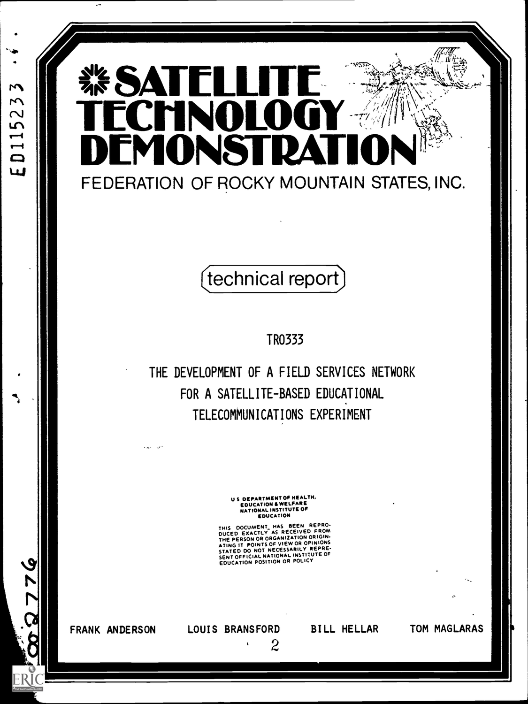# $\mathbf{M}$ ED11523

### $\mathcal{A}$  $\frac{1}{2}$   $\frac{1}{2}$   $\frac{1}{2}$   $\frac{1}{2}$   $\frac{1}{2}$ FOALELLITE SAN SERVICE I  $\blacksquare$ H U MONSTRA FEDERATION OF ROCKY MOUNTAIN STATES, INC.

## technical report)

TR0333

THE DEVELOPMENT OF A FIELD SERVICES NETWORK FOR A SATELLITE-BASED EDUCATIONAL TELECOMMUNICATIONS EXPERIMENT

> US DEPARTMENT OF HEALTH, EDUCATION & WELFARE NATIONAL INSTITUTE OF EDUCATION

THIS DOCUMENT HAS BEEN REPRO-<br>DUCED EXACTLY AS RECEIVED FROM<br>THE PERSON OR ORGANIZATION ORIGIN-<br>ATING IT POINTS OF VIEW OR OPINIONS<br>STATED DO NOT NECESSARILY REPRE-<br>SENTOFFICIAL NATIONAL INSTITUTE OF<br>EDUCATION POSITION OR

FRANK ANDERSON

92689

ER

LOUIS BRANSFORD

 $\pmb{\mathsf{s}}$ 

2

BILL HELLAR TOM MAGLARAS

 $\mathcal{L}_{\text{max}}$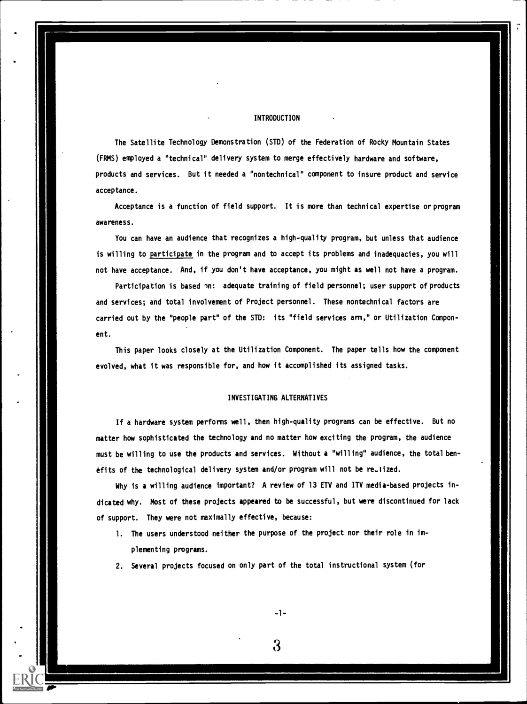#### INTRODUCTION

The Satellite Technology Demonstration (STD) of the Federation of Rocky Mountain States (FRMS) employed a "technical" delivery system to merge effectively hardware and software, products and services. But it needed a "nontechnical" component to insure product and service acceptance.

Acceptance is a function of field support. It is more than technical expertise or program awareness.

You can have an audience that recognizes a high-quality program, but unless that audience is willing to participate in the program and to accept its problems and inadequacies, you will not have acceptance. And, if you don't have acceptance, you might as well not have a program.

Participation is based on: adequate training of field personnel; user support of products and services; and total involvement of Project personnel. These nontechnical factors are carried out by the "people part" of the STD: its "field services arm," or Utilization Component.

This paper looks closely at the Utilization Component. The paper tells how the component evolved, what it was responsible for, and how it accomplished its assigned tasks.

#### INVESTIGATING ALTERNATIVES

If a hardware system performs well, then high-quality programs can be effective. But no matter how sophisticated the technology and no matter how exciting the program, the audience must be willing to use the products and services. Without a "willing" audience, the total benefits of the technological delivery system and/or program will not be reulized.

Why is a willing audience important? A review of 13 ETV and ITV media-based projects indicated why. Most of these projects appeared to be successful, but were discontinued for lack of support. They were not maximally effective, because:

- 1. The users understood neither the purpose of the project nor their role in implementing programs.
- 2. Several projects focused on only part of the total instructional system (for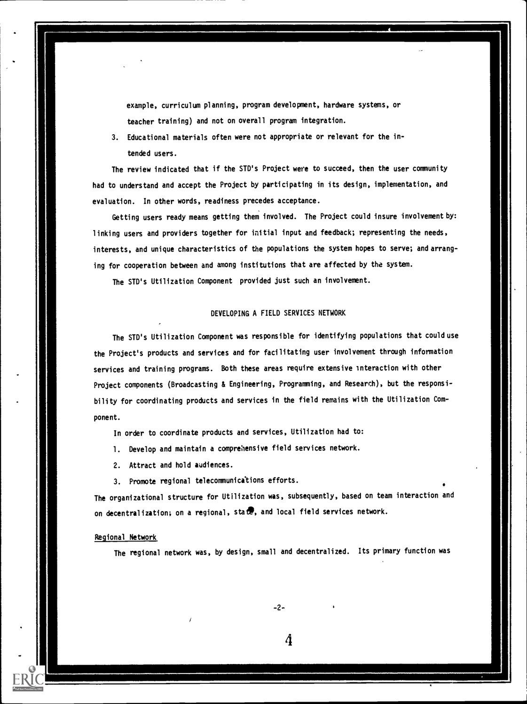example, curriculum planning, program development, hardware systems, or teacher training) and not on overall program integration.

3. Educational materials often were not appropriate or relevant for the intended users.

The review indicated that if the STD's Project were to succeed, then the user community had to understand and accept the Project by participating in its design, implementation, and evaluation. In other words, readiness precedes acceptance.

Getting users ready means getting them involved. The Project could insure involvement by: linking users and providers together for initial input and feedback; representing the needs, interests, and unique characteristics of the populations the system hopes to serve; and arranging for cooperation between and among institutions that are affected by the system.

The STD's Utilization Component provided just such an involvement.

#### DEVELOPING A FIELD SERVICES NETWORK

The STD's Utilization Component was responsible for identifying populations that could use the Project's products and services and for facilitating user involvement through information services and training programs. Both these areas require extensive interaction with other Project components (Broadcasting & Engineering, Programming, and Research), but the responsibility for coordinating products and services in the field remains with the Utilization Component.

In order to coordinate products and services, Utilization had to:

- 1. Develop and maintain a comprehensive field services network.
- 2. Attract and hold audiences.
- 3. Promote regional telecommunications efforts.

The organizational structure for Utilization was, subsequently, based on team interaction and on decentralization; on a regional, state, and local field services network.

#### Regional Network

The regional network was, by design, small and decentralized. Its primary function was

-2-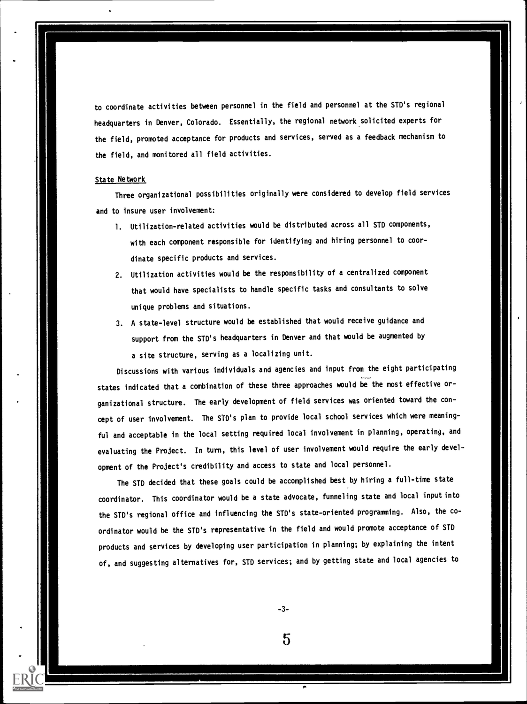to coordinate activities between personnel in the field and personnel at the STD's regional headquarters in Denver, Colorado. Essentially, the regional network solicited experts for the field, promoted acceptance for products and services, served as a feedback mechanism to the field, and monitored all field activities.

#### State Network

Three organizational possibilities originally were considered to develop field services and to insure user involvement:

- 1. Utilization-related activities would be distributed across all STD components, with each component responsible for identifying and hiring personnel to coordinate specific products and services.
- 2. Utilization activities would be the responsibility of a centralized component that would have specialists to handle specific tasks and consultants to solve unique problems and situations.
- 3. A state-level structure would be established that would receive guidance and support from the STD's headquarters in Denver and that would be augmented by a site structure, serving as a localizing unit.

Discussions with various individuals and agencies and input from the eight participating states indicated that a combination of these three approaches would be the most effective organizational structure. The early development of field services was oriented toward the concept of user involvement. The STD's plan to provide local school services which were meaningful and acceptable in the local setting required local involvement in planning, operating, and evaluating the Project. In turn, this level of user involvement would require the early development of the Project's credibility and access to state and local personnel.

The STD decided that these goals could be accomplished best by hiring a full-time state coordinator. This coordinator would be a state advocate, funneling state and local input into the STD's regional office and influencing the STD's state-oriented programming. Also, the coordinator would be the STD's representative in the field and would promote acceptance of STD products and services by developing user participation in planning; by explaining the intent of, and suggesting alternatives for, STD services; and by getting state and local agencies to

-3-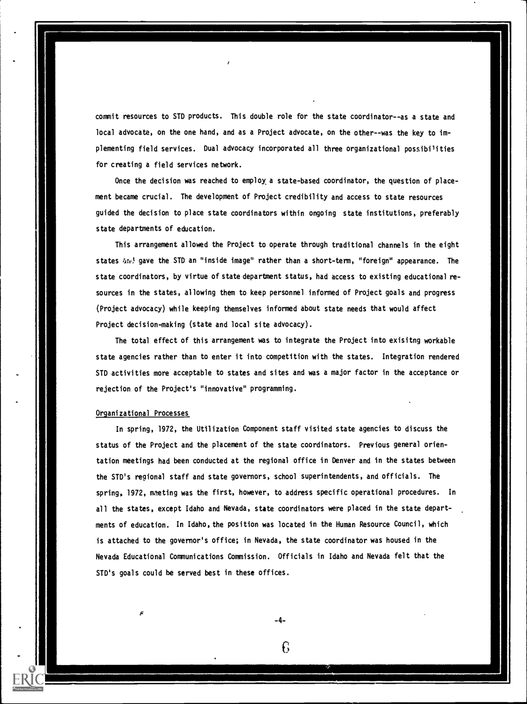commit resources to STD products. This double role for the state coordinator--as a state and local advocate, on the one hand, and as a Project advocate, on the other--was the key to implementing field services. Dual advocacy incorporated all three organizational possibilities for creating a field services network.

Once the decision was reached to employ a state-based coordinator, the question of placement became crucial. The development of Project credibility and access to state resources guided the decision to place state coordinators within ongoing state institutions, preferably state departments of education.

This arrangement allowed the Project to operate through traditional channels in the eight states And gave the STD an "inside image" rather than a short-term, "foreign" appearance. The state coordinators, by virtue of state department status, had access to existing educational resources in the states, allowing them to keep personnel informed of Project goals and progress (Project advocacy) while keeping themselves informed about state needs that would affect Project decision-making (state and local site advocacy).

The total effect of this arrangement was to integrate the Project into exisitng workable state agencies rather than to enter it into competition with the states. Integration rendered STD activities more acceptable to states and sites and was a major factor in the acceptance or rejection of the Project's "innovative" programming.

#### Organizational Processes

In spring, 1972, the Utilization Component staff visited state agencies to discuss the status of the Project and the placement of the state coordinators. Previous general orientation meetings had been conducted at the regional office in Denver and in the states between the STD's regional staff and state governors, school superintendents, and officials. The spring, 1972, meting was the first, however, to address specific operational procedures. In all the states, except Idaho and Nevada, state coordinators were placed in the state departments of education. In Idaho, the position was located in the Human Resource Council, which is attached to the governor's office; in Nevada, the state coordinator was housed in the Nevada Educational Communications Commission. Officials in Idaho and Nevada felt that the STD's goals could be served best in these offices.

-4-

€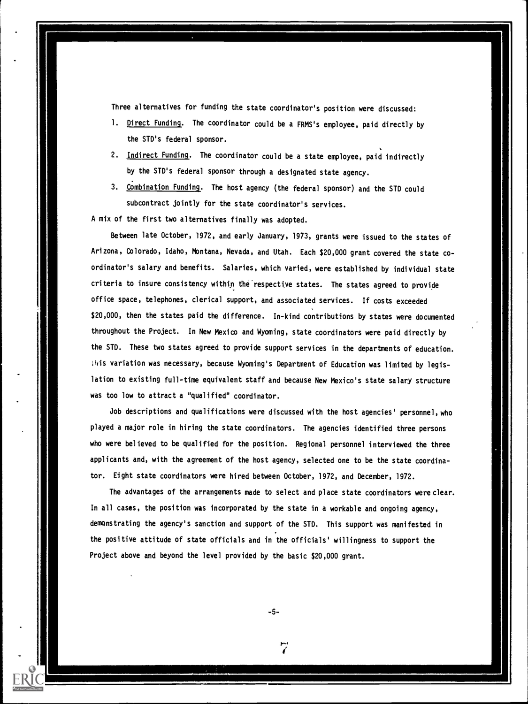Three alternatives for funding the state coordinator's position were discussed:

- 1. Direct Funding. The coordinator could be a FRMS's employee, paid directly by the STD's federal sponsor.
- 2. Indirect Funding. The coordinator could be a state employee, paid indirectly by the STD's federal sponsor through a designated state agency.
- 3. Combination Funding. The host agency (the federal sponsor) and the STD could subcontract jointly for the state coordinator's services.

A mix of the first two alternatives finally was adopted.

Between late October, 1972, and early January, 1973, grants were issued to the states of Arizona, Colorado, Idaho, Montana, Nevada, and Utah. Each \$20,000 grant covered the state coordinator's salary and benefits. Salaries, which varied, were established by individual state criteria to insure consistency within the'respecttve states. The states agreed to provide office space, telephones, clerical support, and associated services. If costs exceeded \$20,000, then the states paid the difference. In-kind contributions by states were documented throughout the Project. In New Mexico and Wyoming, state coordinators were paid directly by the STD. These two states agreed to provide support services in the departments of education. itis variation was necessary, because Wyoming's Department of Education was limited by legislation to existing full-time equivalent staff and because New Mexico's state salary structure was too low to attract a "qualified" coordinator.

Job descriptions and qualifications were discussed with the host agencies' personnel, who played a major role in hiring the state coordinators. The agencies identified three persons who were believed to be qualified for the position. Regional personnel interviewed the three applicants and, with the agreement of the host agency, selected one to be the state coordinator. Eight state coordinators were hired between October, 1972, and December, 1972.

The advantages of the arrangements made to select and place state coordinators were clear. In all cases, the position was incorporated by the state in a workable and ongoing agency, demonstrating the agency's sanction and support of the STD. This support was manifested in the positive attitude of state officials and in the officials' willingness to support the Project above and beyond the level provided by the basic \$20,000 grant.

-5-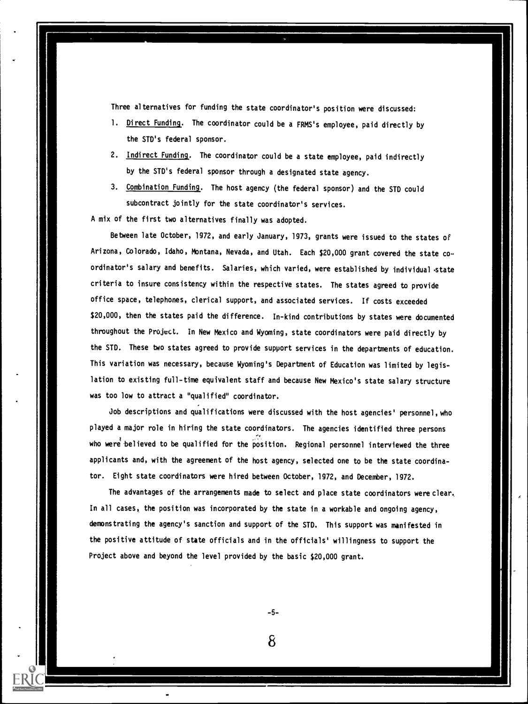Three alternatives for funding the state coordinator's position were discussed:

- 1. Direct Funding. The coordinator could be a FRMS's employee, paid directly by the STD's federal sponsor.
- 2. Indirect Funding. The coordinator could be a state employee, paid indirectly by the STD's federal sponsor through a designated state agency.
- 3. Combination Funding. The host agency (the federal sponsor) and the STD could subcontract jointly for the state coordinator's services.

A mix of the first two alternatives finally was adopted.

Between late October, 1972, and early January, 1973, grants were issued to the states of Arizona, Colorado, Idaho, Montana, Nevada, and Utah. Each \$20,000 grant covered the state coordinator's salary and benefits. Salaries, which varied, were established by individual .state criteria to insure consistency within the respective states. The states agreed to provide office space, telephones, clerical support, and associated services. If costs exceeded \$20,000, then the states paid the difference. In-kind contributions by states were documented throughout the Project. In New Mexico and Wyoming, state coordinators were paid directly by the STD. These two states agreed to provide support services in the departments of education. This variation was necessary, because Wyoming's Department of Education was limited by legislation to existing full-time equivalent staff and because New Mexico's state salary structure was too low to attract a "qualified" coordinator.

Job descriptions and qualifications were discussed with the host agencies' personnel, who played a major role in hiring the state coordinators. The agencies identified three persons who were believed to be qualified for the position. Regional personnel interviewed the three applicants and, with the agreement of the host agency, selected one to be the state coordinator. Eight state coordinators were hired between October, 1972, and December, 1972.

The advantages of the arrangements made to select and place state coordinators were clear., In all cases, the position was incorporated by the state in a workable and ongoing agency, demonstrating the agency's sanction and support of the STD. This support was manifested in the positive attitude of state officials and in the officials' willingness to support the Project above and beyond the level provided by the basic \$20,000 grant.

-5-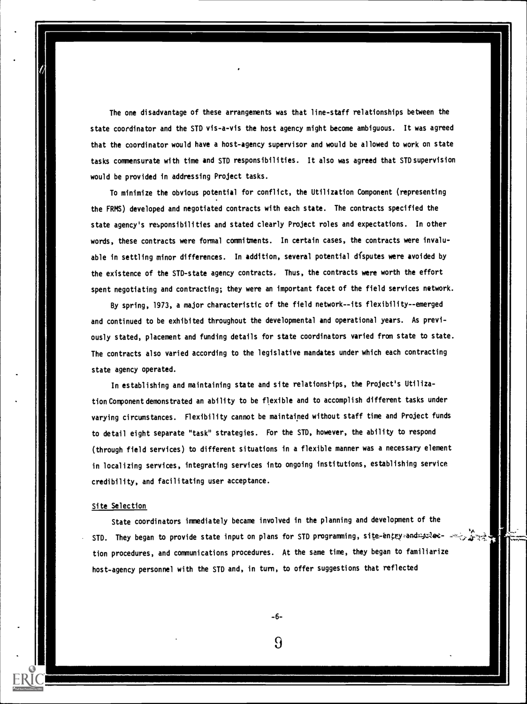The one disadvantage of these arrangements was that line-staff relationships between the state coordinator and the STD vis-a-vis the host agency might become ambiguous. It was agreed that the coordinator would have a host-agency supervisor and would be allowed to work on state tasks commensurate with time and STD responsibilities. It also was agreed that STD supervision would be provided in addressing Project tasks.

To minimize the obvious potential for conflict, the Utilization Component (representing the FRMS) developed and negotiated contracts with each state. The contracts specified the state agency's responsibilities and stated clearly Project roles and expectations. In other words, these contracts were formal commitments. In certain cases, the contracts were invaluable in settling minor differences. In addition, several potential disputes were avoided by the existence of the STD-state agency contracts. Thus, the contracts were worth the effort spent negotiating and contracting; they were an important facet of the field services network.

By spring, 1973, a major characteristic of the field network--its flexibility--emerged and continued to be exhibited throughout the developmental and operational years. As previously stated, placement and funding details for state coordinators varied from state to state. The contracts also varied according to the legislative mandates under which each contracting state agency operated.

In establishing and maintaining state and site relationships, the Project's UtilizationComponentdemonstrated an ability to be flexible and to accomplish different tasks under varying circumstances. Flexibility cannot be maintained without staff time and Project funds to detail eight separate "task" strategies. For the STD, however, the ability to respond (through field services) to different situations in a flexible manner was a necessary element in localizing services, integrating services into ongoing institutions, establishing service credibility, and facilitating user acceptance.

#### Site Selection

State coordinators immediately became involved in the planning and development of the . STD. They began to provide state input on plans for STD programming, site-entrysand tion procedures, and communications procedures. At the same time, they began to familiarize host-agency personnel with the STD and, in turn, to offer suggestions that reflected

-6-

 $\Omega$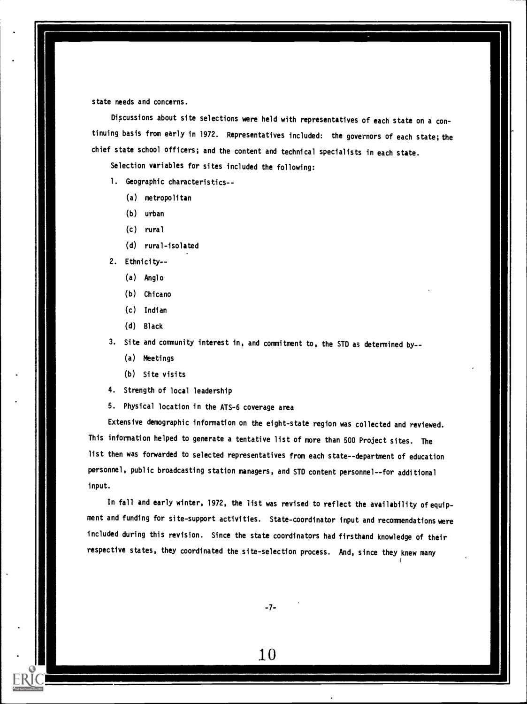state needs and concerns.

Discussions about site selections were held with representatives of each state on a continuing basis from early in 1972. Representatives included: the governors of each state; the chief state school officers; and the content and technical specialists in each state.

Selection variables for sites included the following:

- 1. Geographic characteristics--
	- (a) metropolitan
	- (b) urban
	- (c) rural
	- (d) rural-isolated
- 2. Ethnicity-
	- (a) Anglo
	- (b) Chicano
	- (c) Indian
	- (d) Black
- 3. Site and community interest in, and commitment to, the STD as determined by --
	- (a) Meetings
	- (b) Site visits

4. Strength of local leadership

5. Physical location in the ATS-6 coverage area

Extensive demographic information on the eight-state region was collected and reviewed. This information helped to generate a tentative list of more than 500 Project sites. The list then was forwarded to selected representatives from each state--department of education personnel, public broadcasting station managers, and STD content personnel--for additional input.

In fall and early winter, 1972, the list was revised to reflect the availability of equipment and funding for site-support activities. State-coordinator input and recommendations were included during this revision. Since the state coordinators had firsthand knowledge of their respective states, they coordinated the site-selection process. And, since they knew many

-7-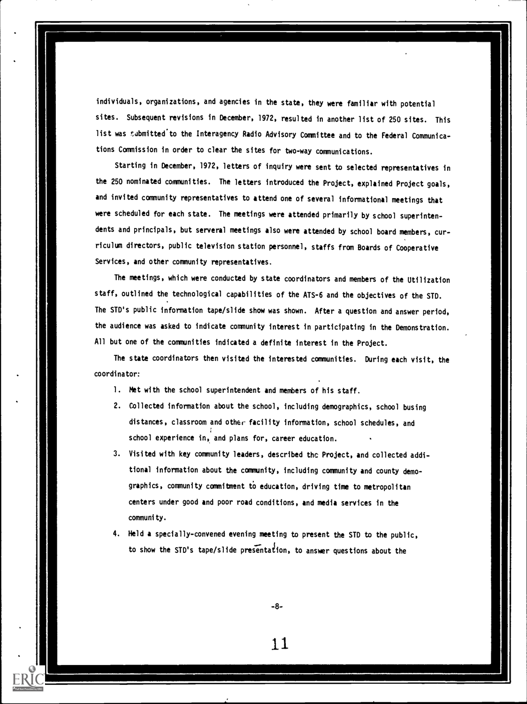individuals, organizations, and agencies in the state, they were familiar with potential sites. Subsequent revisions in December, 1972, resulted in another list of 250 sites. This list was submitted to the Interagency Radio Advisory Committee and to the Federal Communications Commission in order to clear the sites for two-way communications.

Starting in December, 1972, letters of inquiry were sent to selected representatives in the 250 nominated communities. The letters introduced the Project, explained Project goals, and invited community representatives to attend one of several informational meetings that were scheduled for each state. The meetings were attended primarily by school superintendents and principals, but serveral meetings also were attended by school board members, curriculum directors, public television station personnel, staffs from Boards of Cooperative Services, and other community representatives.

The meetings, which were conducted by state coordinators and members of the Utilization staff, outlined the technological capabilities of the ATS-6 and the objectives of the STD. The STD's public information tape/slide show was shown. After a question and answer period, the audience was asked to indicate community interest in participating in the Demonstration. All but one of the communities indicated a definite interest in the Project.

The state coordinators then visited the interested communities. During each visit, the coordinator:

- 1. Met with the school superintendent and members of his staff.
- 2. Collected information about the school, including demographics, school busing distances, classroom and other facility information, school schedules, and school experience in, and plans for, career education.
- 3. Visited with key community leaders, described the Project, and collected additional information about the community, including community and county demographics, community commitment to education, driving time to metropolitan centers under good and poor road conditions, and media services in the community.
- 4. Held a specially-convened evening meeting to present the STD to the public, to show the STD's tape/slide presentation, to answer questions about the

-8-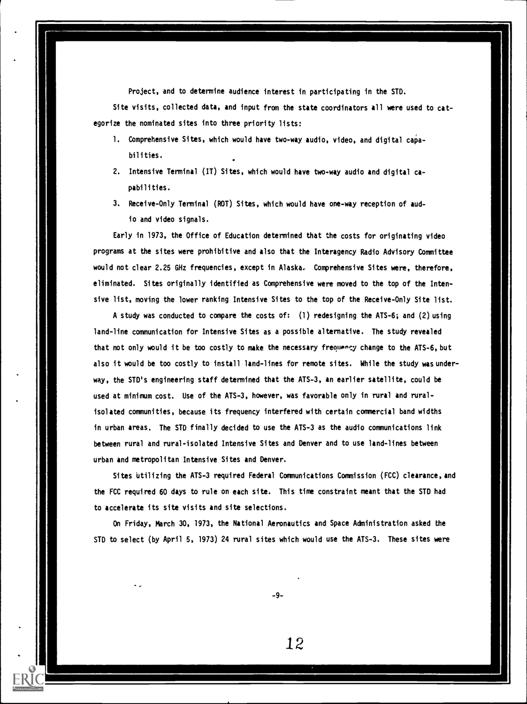Project, and to determine audience interest in participating in the STD.

Site visits, collected data, and input from the state coordinators all were used to categorize the nominated sites into three priority lists:

- 1. Comprehensive Sites, which would have two-way audio, video, and digital capabilities.
- 2. Intensive Terminal (IT) Sites, which would have two-way audio and digital capabilities.
- 3. Receive-Only Terminal (ROT) Sites, which would have one-way reception of audio and video signals.

Early in 1973, the Office of Education determined that the costs for originating video programs at the sites were prohibitive and also that the Interagency Radio Advisory Committee would not clear 2.25 GHz frequencies, except in Alaska. Comprehensive Sites were, therefore, eliminated. Sites originally identified as Comprehensive were moved to the top of the Intensive list, moving the lower ranking Intensive Sites to the top of the Receive-Only Site list.

A study was conducted to compare the costs of: (1) redesigning the ATS-6; and (2) using land-line communication for Intensive Sites as a possible alternative. The study revealed that not only would it be too costly to make the necessary frequency change to the ATS-6, but also it would be too costly to install land-lines for remote sites. While the study was underway, the STD's engineering staff determined that the ATS-3, an earlier satellite, could be used at minimum cost. Use of the ATS-3, however, was favorable only in rural and ruralisolated communities, because its frequency interfered with certain commercial band widths in urban areas. The STD finally decided to use the ATS-3 as the audio communications link between rural and rural-isolated Intensive Sites and Denver and to use land-lines between urban and metropolitan Intensive Sites and Denver.

Sites Utilizing the ATS-3 required Federal Communications Commission (FCC) clearance, and the FCC required 60 days to rule on each site. This time constraint meant that the STD had to accelerate its site visits and site selections.

On Friday, March 30, 1973, the National Aeronautics and Space Administration asked the STD to select (by April 5, 1973) 24 rural sites which would use the ATS-3. These sites were

-9-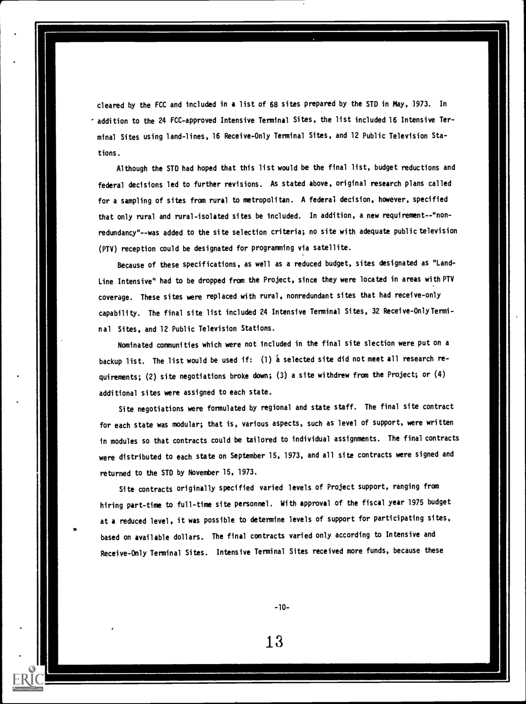cleared by the FCC and included in a list of 68 sites prepared by the STD in May, 1973. In \* addition to the 24 FCC-approved Intensive Terminal Sites, the list included 16 Intensive Terminal Sites using land-lines, 16 Receive-Only Terminal Sites, and 12 Public Television Stations.

Although the STD had hoped that this list would be the final list, budget reductions and federal decisions led to further revisions. As stated above, original research plans called for a sampling of sites from rural to metropolitan. A federal decision, however, specified that only rural and rural-isolated sites be included. In addition, a new requirement--"nonredundancy"--was added to the site selection criteria; no site with adequate public television (PTV) reception could be designated for programming via satellite.

Because of these specifications, as well as a reduced budget, sites designated as "Land-Line Intensive" had to be dropped from the Project, since they were located in areas with PTV coverage. These sites were replaced with rural, nonredundant sites that had receive-only capability. The final site list included 24 Intensive Terminal Sites, 32 Receive-OnlyTerminal Sites, and 12 Public Television Stations.

Nominated communities which were not included in the final site slection were put on a backup list. The list would be used if: (1) a selected site did not meet all research requirements; (2) site negotiations broke down; (3) a site withdrew from the Project; or (4) additional sites were assigned to each state.

Site negotiations were formulated by regional and state staff. The final site contract for each state was modular; that is, various aspects, such as level of support, were written in modules so that contracts could be tailored to individual assignments. The final contracts were distributed to each state on September 15, 1973, and all site contracts were signed and returned to the STD by November 15, 1973.

Site contracts originally specified varied levels of Project support, ranging from hiring part-time to full-time site personnel. With approval of the fiscal year 1975 budget at a reduced level, it was possible to determine levels of support for participating sites, based on available dollars. The final contracts varied only according to Intensive and Receive -Only Terminal Sites. Intensive Terminal Sites received more funds, because these

-10-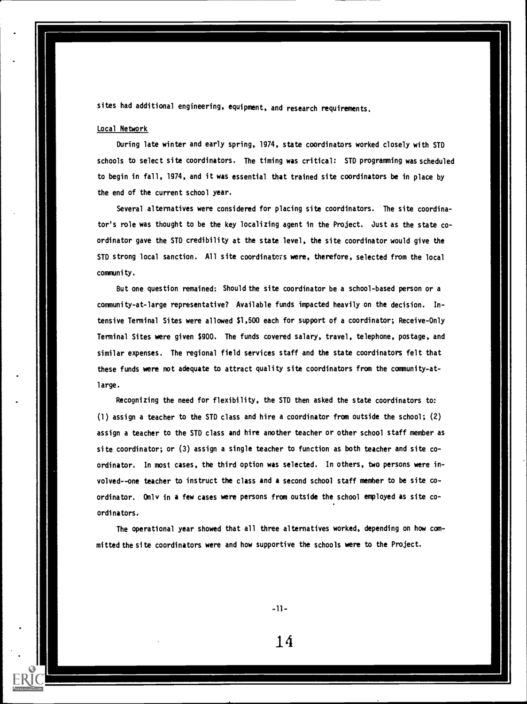sites had additional engineering, equipment, and research requirements.

#### Local Network

During late winter and early spring, 1974, state coordinators worked closely with STD schools to select site coordinators. The timing was critical: STD programming was scheduled to begin in fall, 1974, and it was essential that trained site coordinators be in place by the end of the current school year.

Several alternatives were considered for placing site coordinators. The site coordinator's role was thought to be the key localizing agent in the Project. Just as the state coordinator gave the STD credibility at the state level, the site coordinator would give the STD strong local sanction. All site coordinators were, therefore, selected from the local community.

But one question remained: Should the site coordinator be a school-based person or a community-at-large representative? Available funds impacted heavily on the decision. In tensive Terminal Sites were allowed \$1,500 each for support of a coordinator; Receive-Only Terminal Sites were given \$900. The funds covered salary, travel, telephone, postage, and similar expenses. The regional field services staff and the state coordinators felt that these funds were not adequate to attract quality site coordinators from the community-atlarge.

Recognizing the need for flexibility, the STD then asked the state coordinators to: (1) assign a teacher to the STD class and hire a coordinator from outside the school; (2) assign a teacher to the STD class and hire another teacher or other school staff member as site coordinator; or (3) assign a single teacher to function as both teacher and site coordinator. In most cases, the third option was selected. In others, two persons were involved--one teacher to instruct the class and a second school staff member to be site coordinator. Only in a few cases were persons from outside the school employed as site coordinators.

The operational year showed that all three alternatives worked, depending on how committed the site coordinators were and how supportive the schools were to the Project.

 $-11-$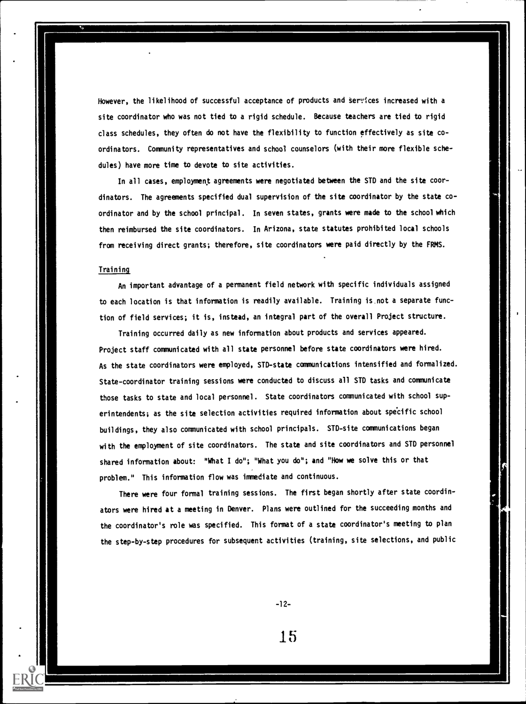However, the likelihood of successful acceptance of products and tervices increased with a site coordinator who was not tied to a rigid schedule. Because teachers are tied to rigid class schedules, they often do not have the flexibility to function effectively as site coordinators. Community representatives and school counselors (with their more flexible schedules) have more time to devote to site activities.

In all cases, employment agreements were negotiated between the STD and the site coordinators. The agreements specified dual supervision of the site coordinator by the state coordinator and by the school principal. In seven states, grants were made to the school which then reimbursed the site coordinators. In Arizona, state statutes prohibited local schools from receiving direct grants; therefore, site coordinators were paid directly by the FRMS.

#### Training

An important advantage of a permanent field network with specific individuals assigned to each location is that information is readily available. Training is.not a separate function of field services; it is, instead, an integral part of the overall Project structure.

Training occurred daily as new information about products and services appeared. Project staff communicated with all state personnel before state coordinators were hired. As the state coordinators were employed, STD-state communications intensified and formalized. State-coordinator training sessions were conducted to discuss all STD tasks and communicate those tasks to state and local personnel. State coordinators communicated with school superintendents; as the site selection activities required information about specific school buildings, they also communicated with school principals. STD-site communications began with the employment of site coordinators. The state and site coordinators and STD personnel shared information about: "What I do"; "What you do"; and "How we solve this or that problem." This information flow was immediate and continuous.

There were four formal training sessions. The first began shortly after state coordinators were hired at a meeting in Denver. Plans were outlined for the succeeding months and the coordinator's role was specified. This format of a state coordinator's meeting to plan the step-by-step procedures for subsequent activities (training, site selections, and public

-12-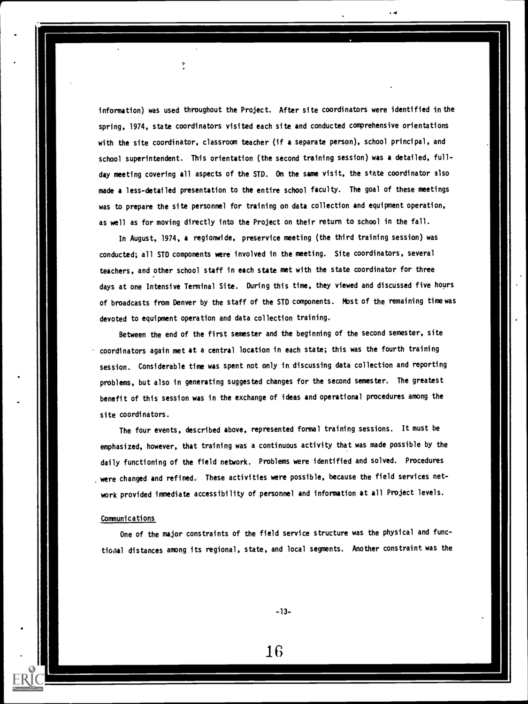information) was used throughout the Project. After site coordinators were identified in the spring, 1974, state coordinators visited each site and conducted comprehensive orientations with the site coordinator, classroom teacher (if a separate person), school principal, and school superintendent. This orientation (the second training session) was a detailed, fullday meeting covering all aspects of the STD. On the same visit, the state coordinator also made a less-detailed presentation to the entire school faculty. The goal of these meetings was to prepare the site personnel for training on data collection and equipment operation, as well as for moving directly into the Project on their return to school in the fall.

In August, 1974, a regionwide, preservice meeting (the third training session) was conducted; all STD components were involved in the meeting. Site coordinators, several teachers, and other school staff in each state met with the state coordinator for three days at one Intensive Terminal Site. During this time, they viewed and discussed five hours of broadcasts from Denver by the staff of the STD components. Most of the remaining time was devoted to equipment operation and data collection training.

Between the end of the first semester and the beginning of the second semester, site coordinators again met at a central location in each state; this was the fourth training session. Considerable time was spent not only in discussing data collection and reporting problems, but also in generating suggested changes for the second semester. The greatest benefit of this session was in the exchange of ideas and operational procedures among the site coordinators.

The four events, described above, represented formal training sessions. It must be emphasized, however, that training was a continuous activity that was made possible by the daily functioning of the field network. Problems were identified and solved. Procedures were changed and refined. These activities were possible, because the field services network provided immediate accessibility of personnel and information at all Project levels.

#### Communications

One of the major constraints of the field service structure was the physical and functional distances among its regional, state, and local segments. Another constraint was the

-13-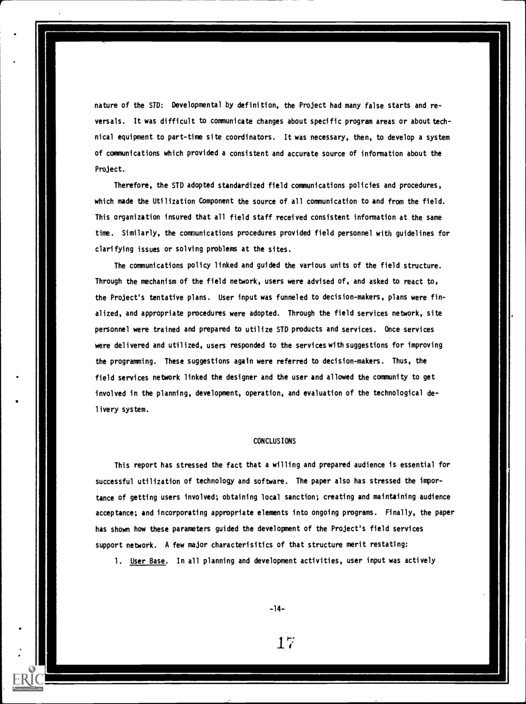nature of the STD: Developmental by definition, the Project had many false starts and reversals. It was difficult to communicate changes about specific program areas or about technical equipment to part-time site coordinators. It was necessary, then, to develop a system of communications which provided a consistent and accurate source of information about the Project.

Therefore, the STD adopted standardized field communications policies and procedures, which made the Utilization Component the source of all communication to and from the field. This organization insured that all field staff received consistent information at the same time. Similarly, the communications procedures provided field personnel with guidelines for clarifying issues or solving problems at the sites.

The communications policy linked and guided the various units of the field structure. Through the mechanism of the field network, users were advised of, and asked to react to, the Project's tentative plans. User input was funneled to decision-makers, plans were finalized, and appropriate procedures were adopted. Through the field services network, site personnel were trained and prepared to utilize STD products and services. Once services were delivered and utilized, users responded to the services with suggestions for improving the programming. These suggestions again were referred to decision-makers. Thus, the field services network linked the designer and the user and allowed the community to get involved in the planning, development, operation, and evaluation of the technological delivery system.

#### CONCLUSIONS

This report has stressed the fact that a willing and prepared audience is essential for successful utilization of technology and software. The paper also has stressed the importance of getting users involved; obtaining local sanction; creating and maintaining audience acceptance; and incorporating appropriate elements into ongoing programs. Finally, the paper has shown how these parameters guided the development of the Project's field services support network. A few major characterisitics of that structure merit restating:

1. User Base. In all planning and development activities, user input was actively

-14-